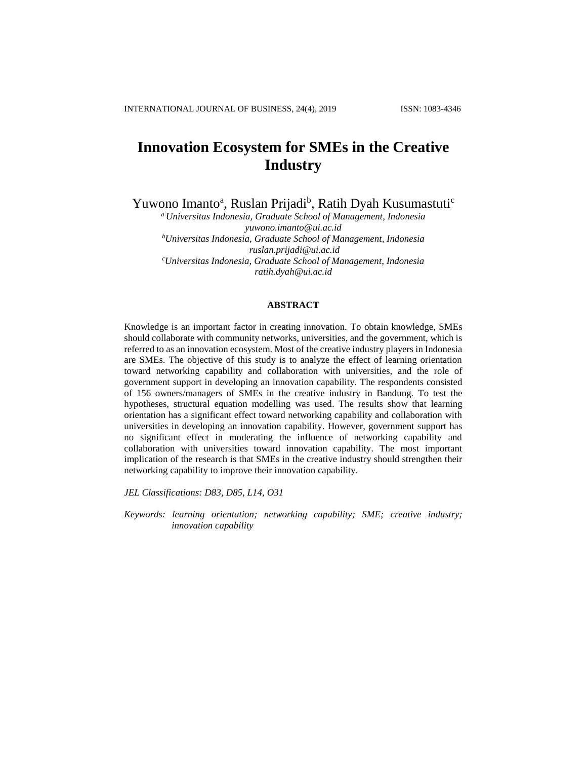# **Innovation Ecosystem for SMEs in the Creative Industry**

Yuwono Imanto<sup>a</sup>, Ruslan Prijadi<sup>b</sup>, Ratih Dyah Kusumastuti<sup>c</sup>

*<sup>a</sup>Universitas Indonesia, Graduate School of Management, Indonesia [yuwono.imanto@ui.ac.id](mailto:yuwono.imanto@ui.ac.id) <sup>b</sup>Universitas Indonesia, Graduate School of Management, Indonesia [ruslan.prijadi@ui.ac.id](mailto:ruslan.prijadi@ui.ac.id) <sup>c</sup>Universitas Indonesia, Graduate School of Management, Indonesia ratih.dyah@ui.ac.id*

## **ABSTRACT**

Knowledge is an important factor in creating innovation. To obtain knowledge, SMEs should collaborate with community networks, universities, and the government, which is referred to as an innovation ecosystem. Most of the creative industry players in Indonesia are SMEs. The objective of this study is to analyze the effect of learning orientation toward networking capability and collaboration with universities, and the role of government support in developing an innovation capability. The respondents consisted of 156 owners/managers of SMEs in the creative industry in Bandung. To test the hypotheses, structural equation modelling was used. The results show that learning orientation has a significant effect toward networking capability and collaboration with universities in developing an innovation capability. However, government support has no significant effect in moderating the influence of networking capability and collaboration with universities toward innovation capability. The most important implication of the research is that SMEs in the creative industry should strengthen their networking capability to improve their innovation capability.

*JEL Classifications: D83, D85, L14, O31*

*Keywords: learning orientation; networking capability; SME; creative industry; innovation capability*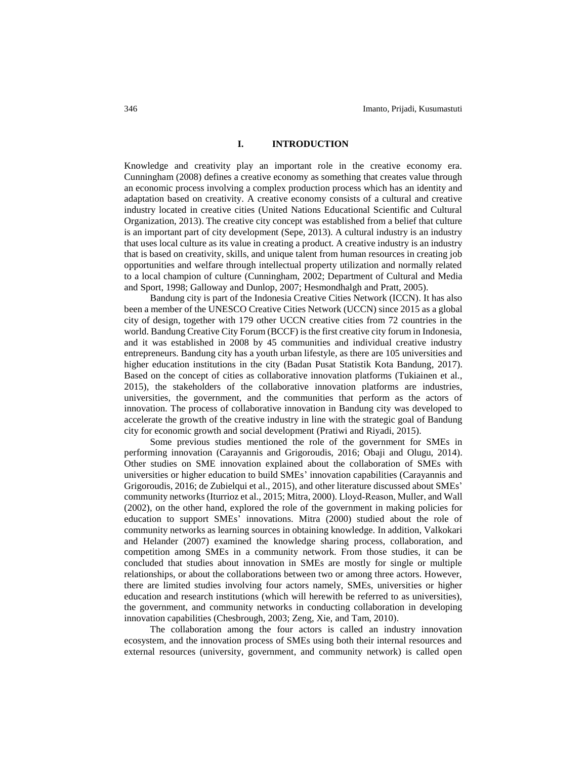#### **I. INTRODUCTION**

Knowledge and creativity play an important role in the creative economy era. Cunningham (2008) defines a creative economy as something that creates value through an economic process involving a complex production process which has an identity and adaptation based on creativity. A creative economy consists of a cultural and creative industry located in creative cities (United Nations Educational Scientific and Cultural Organization, 2013). The creative city concept was established from a belief that culture is an important part of city development (Sepe, 2013). A cultural industry is an industry that uses local culture as its value in creating a product. A creative industry is an industry that is based on creativity, skills, and unique talent from human resources in creating job opportunities and welfare through intellectual property utilization and normally related to a local champion of culture (Cunningham, 2002; Department of Cultural and Media and Sport, 1998; Galloway and Dunlop, 2007; Hesmondhalgh and Pratt, 2005).

Bandung city is part of the Indonesia Creative Cities Network (ICCN). It has also been a member of the UNESCO Creative Cities Network (UCCN) since 2015 as a global city of design, together with 179 other UCCN creative cities from 72 countries in the world. Bandung Creative City Forum (BCCF) is the first creative city forum in Indonesia, and it was established in 2008 by 45 communities and individual creative industry entrepreneurs. Bandung city has a youth urban lifestyle, as there are 105 universities and higher education institutions in the city (Badan Pusat Statistik Kota Bandung, 2017). Based on the concept of cities as collaborative innovation platforms (Tukiainen et al., 2015), the stakeholders of the collaborative innovation platforms are industries, universities, the government, and the communities that perform as the actors of innovation. The process of collaborative innovation in Bandung city was developed to accelerate the growth of the creative industry in line with the strategic goal of Bandung city for economic growth and social development (Pratiwi and Riyadi, 2015).

Some previous studies mentioned the role of the government for SMEs in performing innovation (Carayannis and Grigoroudis, 2016; Obaji and Olugu, 2014). Other studies on SME innovation explained about the collaboration of SMEs with universities or higher education to build SMEs' innovation capabilities (Carayannis and Grigoroudis, 2016; de Zubielqui et al., 2015), and other literature discussed about SMEs' community networks (Iturrioz et al., 2015; Mitra, 2000). Lloyd‐Reason, Muller, and Wall (2002), on the other hand, explored the role of the government in making policies for education to support SMEs' innovations. Mitra (2000) studied about the role of community networks as learning sources in obtaining knowledge. In addition, Valkokari and Helander (2007) examined the knowledge sharing process, collaboration, and competition among SMEs in a community network. From those studies, it can be concluded that studies about innovation in SMEs are mostly for single or multiple relationships, or about the collaborations between two or among three actors. However, there are limited studies involving four actors namely, SMEs, universities or higher education and research institutions (which will herewith be referred to as universities), the government, and community networks in conducting collaboration in developing innovation capabilities (Chesbrough, 2003; Zeng, Xie, and Tam, 2010).

The collaboration among the four actors is called an industry innovation ecosystem, and the innovation process of SMEs using both their internal resources and external resources (university, government, and community network) is called open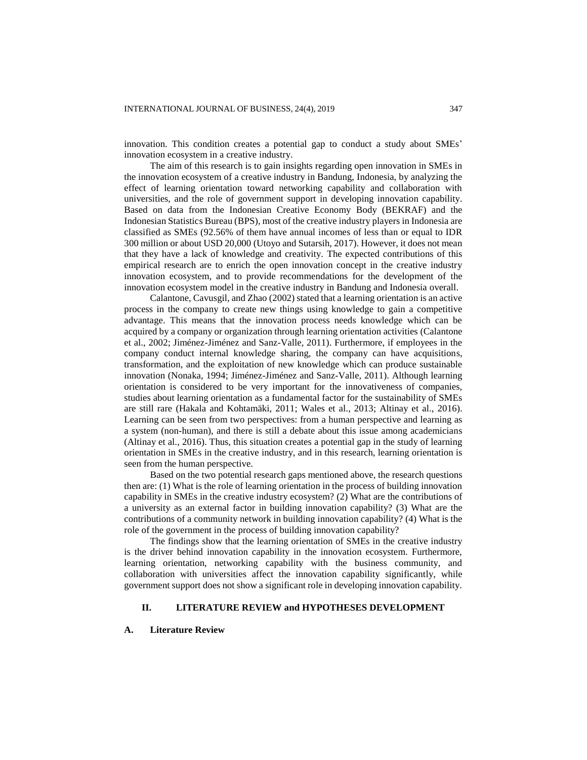innovation. This condition creates a potential gap to conduct a study about SMEs' innovation ecosystem in a creative industry.

The aim of this research is to gain insights regarding open innovation in SMEs in the innovation ecosystem of a creative industry in Bandung, Indonesia, by analyzing the effect of learning orientation toward networking capability and collaboration with universities, and the role of government support in developing innovation capability. Based on data from the Indonesian Creative Economy Body (BEKRAF) and the Indonesian Statistics Bureau (BPS), most of the creative industry players in Indonesia are classified as SMEs (92.56% of them have annual incomes of less than or equal to IDR 300 million or about USD 20,000 (Utoyo and Sutarsih, 2017). However, it does not mean that they have a lack of knowledge and creativity. The expected contributions of this empirical research are to enrich the open innovation concept in the creative industry innovation ecosystem, and to provide recommendations for the development of the innovation ecosystem model in the creative industry in Bandung and Indonesia overall.

Calantone, Cavusgil, and Zhao (2002) stated that a learning orientation is an active process in the company to create new things using knowledge to gain a competitive advantage. This means that the innovation process needs knowledge which can be acquired by a company or organization through learning orientation activities (Calantone et al., 2002; Jiménez-Jiménez and Sanz-Valle, 2011). Furthermore, if employees in the company conduct internal knowledge sharing, the company can have acquisitions, transformation, and the exploitation of new knowledge which can produce sustainable innovation (Nonaka, 1994; Jiménez-Jiménez and Sanz-Valle, 2011). Although learning orientation is considered to be very important for the innovativeness of companies, studies about learning orientation as a fundamental factor for the sustainability of SMEs are still rare (Hakala and Kohtamäki, 2011; Wales et al., 2013; Altinay et al., 2016). Learning can be seen from two perspectives: from a human perspective and learning as a system (non-human), and there is still a debate about this issue among academicians (Altinay et al., 2016). Thus, this situation creates a potential gap in the study of learning orientation in SMEs in the creative industry, and in this research, learning orientation is seen from the human perspective.

Based on the two potential research gaps mentioned above, the research questions then are: (1) What is the role of learning orientation in the process of building innovation capability in SMEs in the creative industry ecosystem? (2) What are the contributions of a university as an external factor in building innovation capability? (3) What are the contributions of a community network in building innovation capability? (4) What is the role of the government in the process of building innovation capability?

The findings show that the learning orientation of SMEs in the creative industry is the driver behind innovation capability in the innovation ecosystem. Furthermore, learning orientation, networking capability with the business community, and collaboration with universities affect the innovation capability significantly, while government support does not show a significant role in developing innovation capability.

# **II. LITERATURE REVIEW and HYPOTHESES DEVELOPMENT**

#### **A. Literature Review**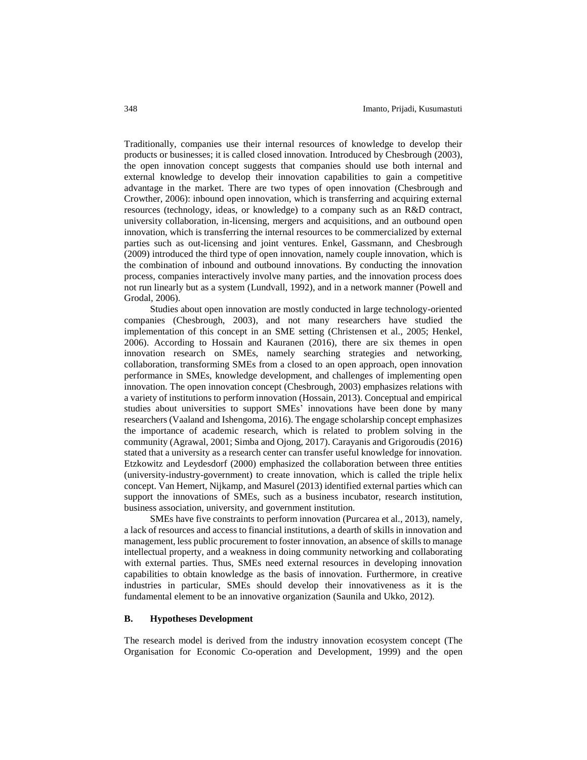Traditionally, companies use their internal resources of knowledge to develop their products or businesses; it is called closed innovation. Introduced by Chesbrough (2003), the open innovation concept suggests that companies should use both internal and external knowledge to develop their innovation capabilities to gain a competitive advantage in the market. There are two types of open innovation (Chesbrough and Crowther, 2006): inbound open innovation, which is transferring and acquiring external resources (technology, ideas, or knowledge) to a company such as an R&D contract, university collaboration, in-licensing, mergers and acquisitions, and an outbound open innovation, which is transferring the internal resources to be commercialized by external parties such as out-licensing and joint ventures. Enkel, Gassmann, and Chesbrough (2009) introduced the third type of open innovation, namely couple innovation, which is the combination of inbound and outbound innovations. By conducting the innovation process, companies interactively involve many parties, and the innovation process does not run linearly but as a system (Lundvall, 1992), and in a network manner (Powell and Grodal, 2006).

Studies about open innovation are mostly conducted in large technology-oriented companies (Chesbrough, 2003), and not many researchers have studied the implementation of this concept in an SME setting (Christensen et al., 2005; Henkel, 2006). According to Hossain and Kauranen (2016), there are six themes in open innovation research on SMEs, namely searching strategies and networking, collaboration, transforming SMEs from a closed to an open approach, open innovation performance in SMEs, knowledge development, and challenges of implementing open innovation. The open innovation concept (Chesbrough, 2003) emphasizes relations with a variety of institutions to perform innovation (Hossain, 2013). Conceptual and empirical studies about universities to support SMEs' innovations have been done by many researchers (Vaaland and Ishengoma, 2016). The engage scholarship concept emphasizes the importance of academic research, which is related to problem solving in the community (Agrawal, 2001; Simba and Ojong, 2017). Carayanis and Grigoroudis (2016) stated that a university as a research center can transfer useful knowledge for innovation. Etzkowitz and Leydesdorf (2000) emphasized the collaboration between three entities (university-industry-government) to create innovation, which is called the triple helix concept. Van Hemert, Nijkamp, and Masurel (2013) identified external parties which can support the innovations of SMEs, such as a business incubator, research institution, business association, university, and government institution.

SMEs have five constraints to perform innovation (Purcarea et al., 2013), namely, a lack of resources and access to financial institutions, a dearth of skills in innovation and management, less public procurement to foster innovation, an absence of skills to manage intellectual property, and a weakness in doing community networking and collaborating with external parties. Thus, SMEs need external resources in developing innovation capabilities to obtain knowledge as the basis of innovation. Furthermore, in creative industries in particular, SMEs should develop their innovativeness as it is the fundamental element to be an innovative organization (Saunila and Ukko, 2012).

#### **B. Hypotheses Development**

The research model is derived from the industry innovation ecosystem concept (The Organisation for Economic Co-operation and Development, 1999) and the open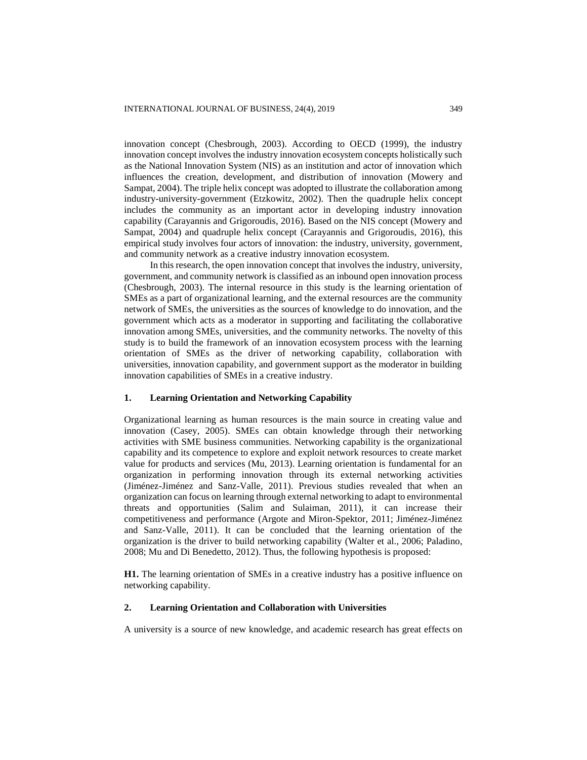innovation concept (Chesbrough, 2003). According to OECD (1999), the industry innovation concept involves the industry innovation ecosystem concepts holistically such as the National Innovation System (NIS) as an institution and actor of innovation which influences the creation, development, and distribution of innovation (Mowery and Sampat, 2004). The triple helix concept was adopted to illustrate the collaboration among industry-university-government (Etzkowitz, 2002). Then the quadruple helix concept includes the community as an important actor in developing industry innovation capability (Carayannis and Grigoroudis, 2016). Based on the NIS concept (Mowery and Sampat, 2004) and quadruple helix concept (Carayannis and Grigoroudis, 2016), this empirical study involves four actors of innovation: the industry, university, government, and community network as a creative industry innovation ecosystem.

In this research, the open innovation concept that involves the industry, university, government, and community network is classified as an inbound open innovation process (Chesbrough, 2003). The internal resource in this study is the learning orientation of SMEs as a part of organizational learning, and the external resources are the community network of SMEs, the universities as the sources of knowledge to do innovation, and the government which acts as a moderator in supporting and facilitating the collaborative innovation among SMEs, universities, and the community networks. The novelty of this study is to build the framework of an innovation ecosystem process with the learning orientation of SMEs as the driver of networking capability, collaboration with universities, innovation capability, and government support as the moderator in building innovation capabilities of SMEs in a creative industry.

## **1. Learning Orientation and Networking Capability**

Organizational learning as human resources is the main source in creating value and innovation (Casey, 2005). SMEs can obtain knowledge through their networking activities with SME business communities. Networking capability is the organizational capability and its competence to explore and exploit network resources to create market value for products and services (Mu, 2013). Learning orientation is fundamental for an organization in performing innovation through its external networking activities (Jiménez-Jiménez and Sanz-Valle, 2011). Previous studies revealed that when an organization can focus on learning through external networking to adapt to environmental threats and opportunities (Salim and Sulaiman, 2011), it can increase their competitiveness and performance (Argote and Miron-Spektor, 2011; Jiménez-Jiménez and Sanz-Valle, 2011). It can be concluded that the learning orientation of the organization is the driver to build networking capability (Walter et al., 2006; Paladino, 2008; Mu and Di Benedetto, 2012). Thus, the following hypothesis is proposed:

**H1.** The learning orientation of SMEs in a creative industry has a positive influence on networking capability.

# **2. Learning Orientation and Collaboration with Universities**

A university is a source of new knowledge, and academic research has great effects on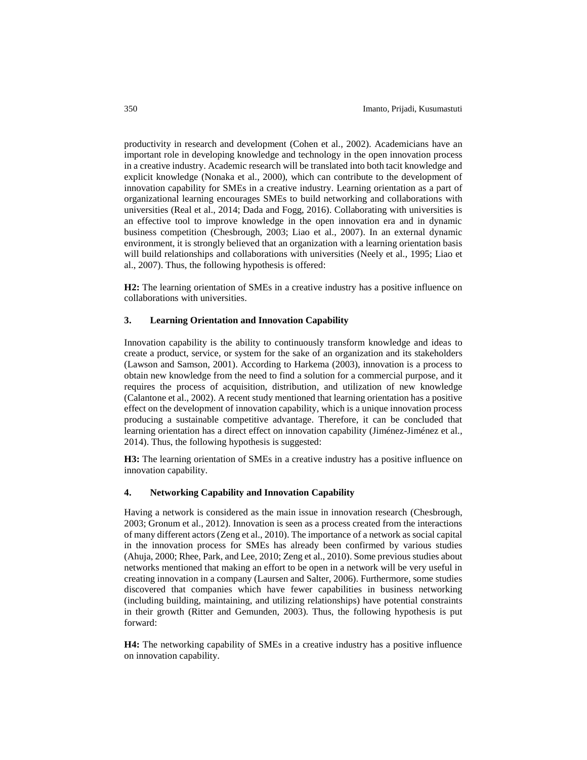productivity in research and development (Cohen et al., 2002). Academicians have an important role in developing knowledge and technology in the open innovation process in a creative industry. Academic research will be translated into both tacit knowledge and explicit knowledge (Nonaka et al., 2000), which can contribute to the development of innovation capability for SMEs in a creative industry. Learning orientation as a part of organizational learning encourages SMEs to build networking and collaborations with universities (Real et al., 2014; Dada and Fogg, 2016). Collaborating with universities is an effective tool to improve knowledge in the open innovation era and in dynamic business competition (Chesbrough, 2003; Liao et al., 2007). In an external dynamic environment, it is strongly believed that an organization with a learning orientation basis will build relationships and collaborations with universities (Neely et al., 1995; Liao et al., 2007). Thus, the following hypothesis is offered:

**H2:** The learning orientation of SMEs in a creative industry has a positive influence on collaborations with universities.

## **3. Learning Orientation and Innovation Capability**

Innovation capability is the ability to continuously transform knowledge and ideas to create a product, service, or system for the sake of an organization and its stakeholders (Lawson and Samson, 2001). According to Harkema (2003), innovation is a process to obtain new knowledge from the need to find a solution for a commercial purpose, and it requires the process of acquisition, distribution, and utilization of new knowledge (Calantone et al., 2002). A recent study mentioned that learning orientation has a positive effect on the development of innovation capability, which is a unique innovation process producing a sustainable competitive advantage. Therefore, it can be concluded that learning orientation has a direct effect on innovation capability (Jiménez-Jiménez et al., 2014). Thus, the following hypothesis is suggested:

**H3:** The learning orientation of SMEs in a creative industry has a positive influence on innovation capability.

# **4. Networking Capability and Innovation Capability**

Having a network is considered as the main issue in innovation research (Chesbrough, 2003; Gronum et al., 2012). Innovation is seen as a process created from the interactions of many different actors (Zeng et al., 2010). The importance of a network as social capital in the innovation process for SMEs has already been confirmed by various studies (Ahuja, 2000; Rhee, Park, and Lee, 2010; Zeng et al., 2010). Some previous studies about networks mentioned that making an effort to be open in a network will be very useful in creating innovation in a company (Laursen and Salter, 2006). Furthermore, some studies discovered that companies which have fewer capabilities in business networking (including building, maintaining, and utilizing relationships) have potential constraints in their growth (Ritter and Gemunden, 2003). Thus, the following hypothesis is put forward:

**H4:** The networking capability of SMEs in a creative industry has a positive influence on innovation capability.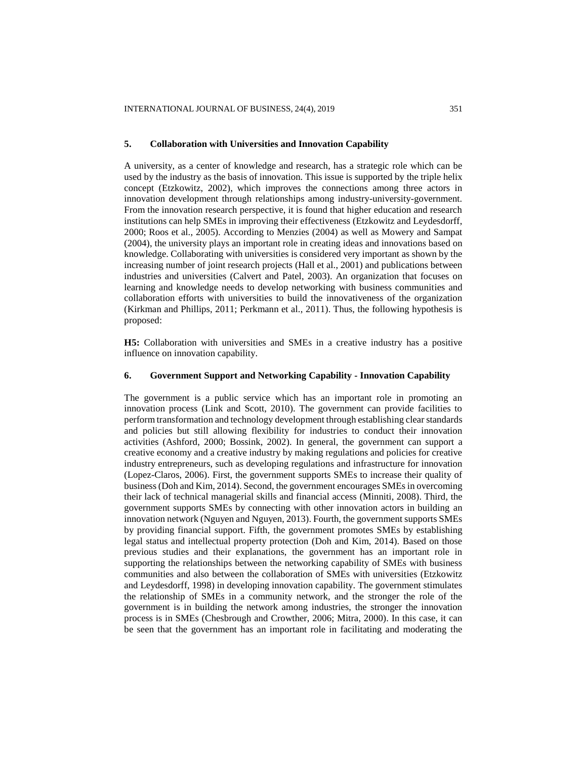#### **5. Collaboration with Universities and Innovation Capability**

A university, as a center of knowledge and research, has a strategic role which can be used by the industry as the basis of innovation. This issue is supported by the triple helix concept (Etzkowitz, 2002), which improves the connections among three actors in innovation development through relationships among industry-university-government. From the innovation research perspective, it is found that higher education and research institutions can help SMEs in improving their effectiveness (Etzkowitz and Leydesdorff, 2000; Roos et al., 2005). According to Menzies (2004) as well as Mowery and Sampat (2004), the university plays an important role in creating ideas and innovations based on knowledge. Collaborating with universities is considered very important as shown by the increasing number of joint research projects (Hall et al., 2001) and publications between industries and universities (Calvert and Patel, 2003). An organization that focuses on learning and knowledge needs to develop networking with business communities and collaboration efforts with universities to build the innovativeness of the organization (Kirkman and Phillips, 2011; Perkmann et al., 2011). Thus, the following hypothesis is proposed:

**H5:** Collaboration with universities and SMEs in a creative industry has a positive influence on innovation capability.

# **6. Government Support and Networking Capability - Innovation Capability**

The government is a public service which has an important role in promoting an innovation process (Link and Scott, 2010). The government can provide facilities to perform transformation and technology development through establishing clear standards and policies but still allowing flexibility for industries to conduct their innovation activities (Ashford, 2000; Bossink, 2002). In general, the government can support a creative economy and a creative industry by making regulations and policies for creative industry entrepreneurs, such as developing regulations and infrastructure for innovation (Lopez-Claros, 2006). First, the government supports SMEs to increase their quality of business (Doh and Kim, 2014). Second, the government encourages SMEs in overcoming their lack of technical managerial skills and financial access (Minniti, 2008). Third, the government supports SMEs by connecting with other innovation actors in building an innovation network (Nguyen and Nguyen, 2013). Fourth, the government supports SMEs by providing financial support. Fifth, the government promotes SMEs by establishing legal status and intellectual property protection (Doh and Kim, 2014). Based on those previous studies and their explanations, the government has an important role in supporting the relationships between the networking capability of SMEs with business communities and also between the collaboration of SMEs with universities (Etzkowitz and Leydesdorff, 1998) in developing innovation capability. The government stimulates the relationship of SMEs in a community network, and the stronger the role of the government is in building the network among industries, the stronger the innovation process is in SMEs (Chesbrough and Crowther, 2006; Mitra, 2000). In this case, it can be seen that the government has an important role in facilitating and moderating the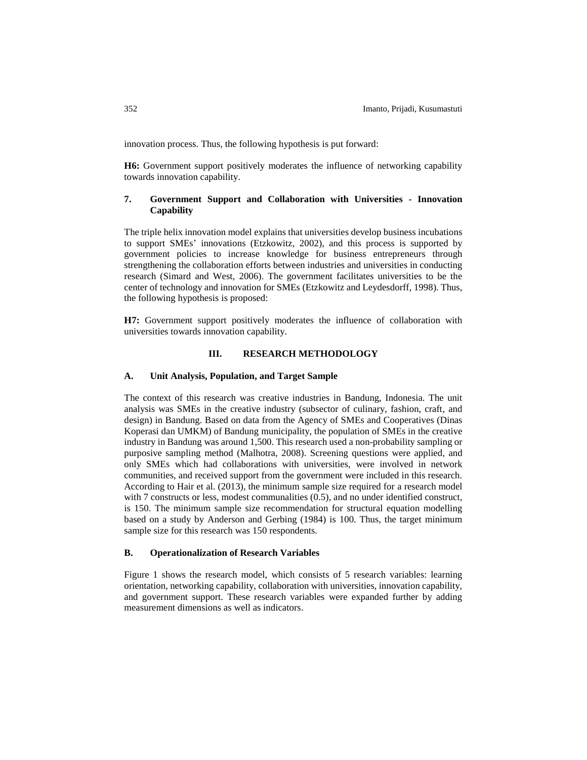innovation process. Thus, the following hypothesis is put forward:

**H6:** Government support positively moderates the influence of networking capability towards innovation capability.

# **7. Government Support and Collaboration with Universities - Innovation Capability**

The triple helix innovation model explains that universities develop business incubations to support SMEs' innovations (Etzkowitz, 2002), and this process is supported by government policies to increase knowledge for business entrepreneurs through strengthening the collaboration efforts between industries and universities in conducting research (Simard and West, 2006). The government facilitates universities to be the center of technology and innovation for SMEs (Etzkowitz and Leydesdorff, 1998). Thus, the following hypothesis is proposed:

**H7:** Government support positively moderates the influence of collaboration with universities towards innovation capability.

# **III. RESEARCH METHODOLOGY**

## **A. Unit Analysis, Population, and Target Sample**

The context of this research was creative industries in Bandung, Indonesia. The unit analysis was SMEs in the creative industry (subsector of culinary, fashion, craft, and design) in Bandung. Based on data from the Agency of SMEs and Cooperatives (Dinas Koperasi dan UMKM) of Bandung municipality, the population of SMEs in the creative industry in Bandung was around 1,500. This research used a non-probability sampling or purposive sampling method (Malhotra, 2008). Screening questions were applied, and only SMEs which had collaborations with universities, were involved in network communities, and received support from the government were included in this research. According to Hair et al. (2013), the minimum sample size required for a research model with 7 constructs or less, modest communalities (0.5), and no under identified construct, is 150. The minimum sample size recommendation for structural equation modelling based on a study by Anderson and Gerbing (1984) is 100. Thus, the target minimum sample size for this research was 150 respondents.

# **B. Operationalization of Research Variables**

Figure 1 shows the research model, which consists of 5 research variables: learning orientation, networking capability, collaboration with universities, innovation capability, and government support. These research variables were expanded further by adding measurement dimensions as well as indicators.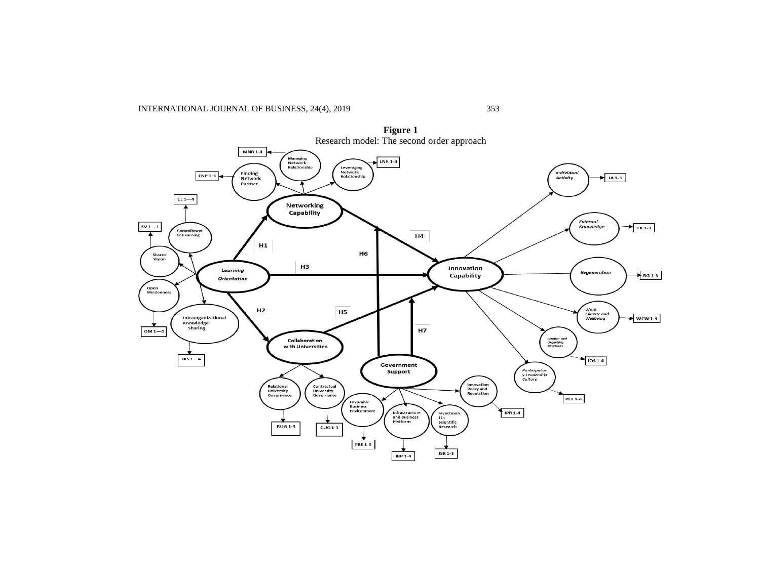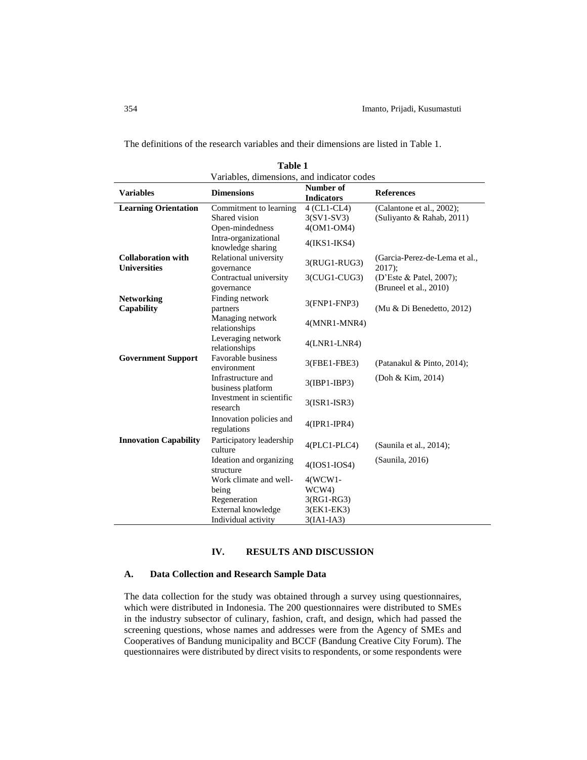The definitions of the research variables and their dimensions are listed in Table 1.

| 1 avit 1<br>Variables, dimensions, and indicator codes |                                           |                                |                                                   |  |  |  |
|--------------------------------------------------------|-------------------------------------------|--------------------------------|---------------------------------------------------|--|--|--|
| <b>Variables</b>                                       | <b>Dimensions</b>                         | Number of<br><b>Indicators</b> | <b>References</b>                                 |  |  |  |
| <b>Learning Orientation</b>                            | Commitment to learning                    | $4$ (CL1-CL4)                  | (Calantone et al., 2002);                         |  |  |  |
|                                                        | Shared vision                             | $3(SVI-SV3)$                   | (Suliyanto & Rahab, 2011)                         |  |  |  |
|                                                        | Open-mindedness                           | 4(OM1-OM4)                     |                                                   |  |  |  |
|                                                        | Intra-organizational<br>knowledge sharing | $4(IKS1-IKS4)$                 |                                                   |  |  |  |
| <b>Collaboration with</b><br><b>Universities</b>       | Relational university<br>governance       | 3(RUG1-RUG3)                   | (Garcia-Perez-de-Lema et al.,<br>$2017$ :         |  |  |  |
|                                                        | Contractual university<br>governance      | $3$ (CUG1-CUG3)                | (D'Este & Patel, 2007);<br>(Bruneel et al., 2010) |  |  |  |
| <b>Networking</b><br>Capability                        | Finding network<br>partners               | 3(FNP1-FNP3)                   | (Mu & Di Benedetto, 2012)                         |  |  |  |
|                                                        | Managing network<br>relationships         | $4(MNR1-MNR4)$                 |                                                   |  |  |  |
|                                                        | Leveraging network<br>relationships       | $4(LNR1-LNR4)$                 |                                                   |  |  |  |
| <b>Government Support</b>                              | Favorable business<br>environment         | 3(FBE1-FBE3)                   | (Patanakul & Pinto, 2014);                        |  |  |  |
|                                                        | Infrastructure and<br>business platform   | 3(IBP1-IBP3)                   | (Doh & Kim, 2014)                                 |  |  |  |
|                                                        | Investment in scientific<br>research      | $3(ISR1-ISR3)$                 |                                                   |  |  |  |
|                                                        | Innovation policies and<br>regulations    | $4$ (IPR1-IPR4)                |                                                   |  |  |  |
| <b>Innovation Capability</b>                           | Participatory leadership<br>culture       | $4(PLC1-PLC4)$                 | (Saunila et al., 2014);                           |  |  |  |
|                                                        | Ideation and organizing<br>structure      | $4(IOS1-IOS4)$                 | (Saunila, 2016)                                   |  |  |  |
|                                                        | Work climate and well-                    | $4(WCW1 -$                     |                                                   |  |  |  |
|                                                        | being                                     | WCW4)                          |                                                   |  |  |  |
|                                                        | Regeneration                              | $3(RG1-RG3)$                   |                                                   |  |  |  |
|                                                        | External knowledge                        | 3(EK1-EK3)                     |                                                   |  |  |  |
|                                                        | Individual activity                       | $3(IA1-IA3)$                   |                                                   |  |  |  |

**Table 1**

# **IV. RESULTS AND DISCUSSION**

# **A. Data Collection and Research Sample Data**

The data collection for the study was obtained through a survey using questionnaires, which were distributed in Indonesia. The 200 questionnaires were distributed to SMEs in the industry subsector of culinary, fashion, craft, and design, which had passed the screening questions, whose names and addresses were from the Agency of SMEs and Cooperatives of Bandung municipality and BCCF (Bandung Creative City Forum). The questionnaires were distributed by direct visits to respondents, or some respondents were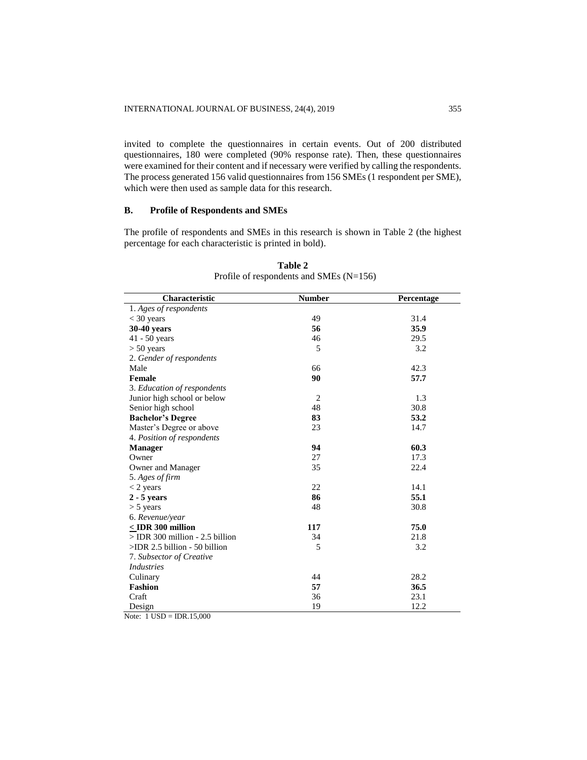invited to complete the questionnaires in certain events. Out of 200 distributed questionnaires, 180 were completed (90% response rate). Then, these questionnaires were examined for their content and if necessary were verified by calling the respondents. The process generated 156 valid questionnaires from 156 SMEs (1 respondent per SME), which were then used as sample data for this research.

# **B. Profile of Respondents and SMEs**

The profile of respondents and SMEs in this research is shown in Table 2 (the highest percentage for each characteristic is printed in bold).

| Characteristic                    | <b>Number</b>  | Percentage |
|-----------------------------------|----------------|------------|
| 1. Ages of respondents            |                |            |
| $<$ 30 years                      | 49             | 31.4       |
| 30-40 years                       | 56             | 35.9       |
| $41 - 50$ years                   | 46             | 29.5       |
| $> 50$ years                      | 5              | 3.2        |
| 2. Gender of respondents          |                |            |
| Male                              | 66             | 42.3       |
| <b>Female</b>                     | 90             | 57.7       |
| 3. Education of respondents       |                |            |
| Junior high school or below       | $\overline{2}$ | 1.3        |
| Senior high school                | 48             | 30.8       |
| <b>Bachelor's Degree</b>          | 83             | 53.2       |
| Master's Degree or above          | 23             | 14.7       |
| 4. Position of respondents        |                |            |
| <b>Manager</b>                    | 94             | 60.3       |
| Owner                             | 27             | 17.3       |
| Owner and Manager                 | 35             | 22.4       |
| 5. Ages of firm                   |                |            |
| $<$ 2 years                       | 22             | 14.1       |
| $2 - 5$ years                     | 86             | 55.1       |
| $> 5$ years                       | 48             | 30.8       |
| 6. Revenue/year                   |                |            |
| $<$ IDR 300 million               | 117            | 75.0       |
| $>$ IDR 300 million - 2.5 billion | 34             | 21.8       |
| $>$ IDR 2.5 billion - 50 billion  | 5              | 3.2        |
| 7. Subsector of Creative          |                |            |
| <b>Industries</b>                 |                |            |
| Culinary                          | 44             | 28.2       |
| <b>Fashion</b>                    | 57             | 36.5       |
| Craft                             | 36             | 23.1       |
| Design                            | 19             | 12.2       |

**Table 2** Profile of respondents and SMEs (N=156)

Note:  $1 \text{ USD} = \text{IDR}.15,000$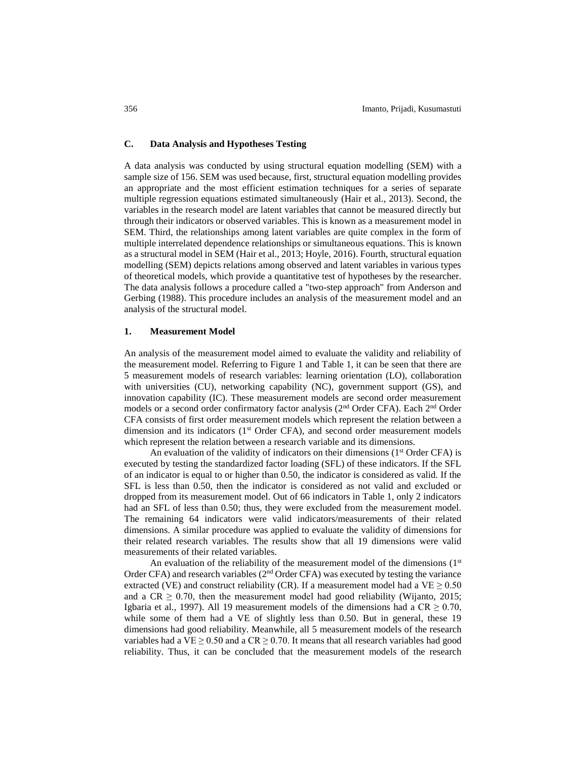# **C. Data Analysis and Hypotheses Testing**

A data analysis was conducted by using structural equation modelling (SEM) with a sample size of 156. SEM was used because, first, structural equation modelling provides an appropriate and the most efficient estimation techniques for a series of separate multiple regression equations estimated simultaneously (Hair et al., 2013). Second, the variables in the research model are latent variables that cannot be measured directly but through their indicators or observed variables. This is known as a measurement model in SEM. Third, the relationships among latent variables are quite complex in the form of multiple interrelated dependence relationships or simultaneous equations. This is known as a structural model in SEM (Hair et al., 2013; Hoyle, 2016). Fourth, structural equation modelling (SEM) depicts relations among observed and latent variables in various types of theoretical models, which provide a quantitative test of hypotheses by the researcher. The data analysis follows a procedure called a "two-step approach" from Anderson and Gerbing (1988). This procedure includes an analysis of the measurement model and an analysis of the structural model.

#### **1. Measurement Model**

An analysis of the measurement model aimed to evaluate the validity and reliability of the measurement model. Referring to Figure 1 and Table 1, it can be seen that there are 5 measurement models of research variables: learning orientation (LO), collaboration with universities (CU), networking capability (NC), government support (GS), and innovation capability (IC). These measurement models are second order measurement models or a second order confirmatory factor analysis (2<sup>nd</sup> Order CFA). Each 2<sup>nd</sup> Order CFA consists of first order measurement models which represent the relation between a dimension and its indicators  $(1<sup>st</sup> Order CFA)$ , and second order measurement models which represent the relation between a research variable and its dimensions.

An evaluation of the validity of indicators on their dimensions ( $1<sup>st</sup>$  Order CFA) is executed by testing the standardized factor loading (SFL) of these indicators. If the SFL of an indicator is equal to or higher than 0.50, the indicator is considered as valid. If the SFL is less than 0.50, then the indicator is considered as not valid and excluded or dropped from its measurement model. Out of 66 indicators in Table 1, only 2 indicators had an SFL of less than 0.50; thus, they were excluded from the measurement model. The remaining 64 indicators were valid indicators/measurements of their related dimensions. A similar procedure was applied to evaluate the validity of dimensions for their related research variables. The results show that all 19 dimensions were valid measurements of their related variables.

An evaluation of the reliability of the measurement model of the dimensions  $(1<sup>st</sup>$ Order CFA) and research variables ( $2<sup>nd</sup>$  Order CFA) was executed by testing the variance extracted (VE) and construct reliability (CR). If a measurement model had a VE  $\geq$  0.50 and a CR  $\geq$  0.70, then the measurement model had good reliability (Wijanto, 2015; Igbaria et al., 1997). All 19 measurement models of the dimensions had a  $CR \ge 0.70$ , while some of them had a VE of slightly less than 0.50. But in general, these 19 dimensions had good reliability. Meanwhile, all 5 measurement models of the research variables had a VE  $\geq$  0.50 and a CR  $\geq$  0.70. It means that all research variables had good reliability. Thus, it can be concluded that the measurement models of the research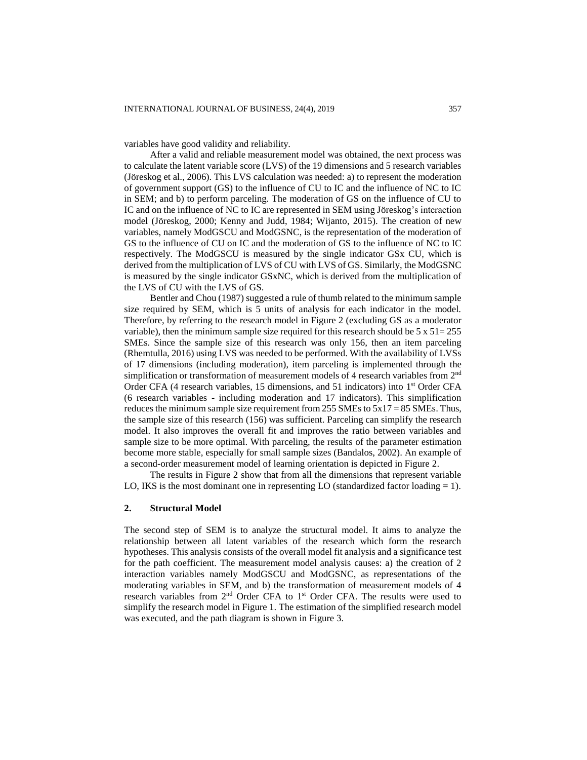variables have good validity and reliability.

After a valid and reliable measurement model was obtained, the next process was to calculate the latent variable score (LVS) of the 19 dimensions and 5 research variables (Jöreskog et al., 2006). This LVS calculation was needed: a) to represent the moderation of government support (GS) to the influence of CU to IC and the influence of NC to IC in SEM; and b) to perform parceling. The moderation of GS on the influence of CU to IC and on the influence of NC to IC are represented in SEM using Jöreskog's interaction model (Jöreskog, 2000; Kenny and Judd, 1984; Wijanto, 2015). The creation of new variables, namely ModGSCU and ModGSNC, is the representation of the moderation of GS to the influence of CU on IC and the moderation of GS to the influence of NC to IC respectively. The ModGSCU is measured by the single indicator GSx CU, which is derived from the multiplication of LVS of CU with LVS of GS. Similarly, the ModGSNC is measured by the single indicator GSxNC, which is derived from the multiplication of the LVS of CU with the LVS of GS.

Bentler and Chou (1987) suggested a rule of thumb related to the minimum sample size required by SEM, which is 5 units of analysis for each indicator in the model. Therefore, by referring to the research model in Figure 2 (excluding GS as a moderator variable), then the minimum sample size required for this research should be  $5 \times 51 = 255$ SMEs. Since the sample size of this research was only 156, then an item parceling (Rhemtulla, 2016) using LVS was needed to be performed. With the availability of LVSs of 17 dimensions (including moderation), item parceling is implemented through the simplification or transformation of measurement models of 4 research variables from  $2<sup>nd</sup>$ Order CFA (4 research variables, 15 dimensions, and 51 indicators) into 1<sup>st</sup> Order CFA (6 research variables - including moderation and 17 indicators). This simplification reduces the minimum sample size requirement from 255 SMEs to 5x17 = 85 SMEs. Thus, the sample size of this research (156) was sufficient. Parceling can simplify the research model. It also improves the overall fit and improves the ratio between variables and sample size to be more optimal. With parceling, the results of the parameter estimation become more stable, especially for small sample sizes (Bandalos, 2002). An example of a second-order measurement model of learning orientation is depicted in Figure 2.

The results in Figure 2 show that from all the dimensions that represent variable LO, IKS is the most dominant one in representing LO (standardized factor loading  $= 1$ ).

# **2. Structural Model**

The second step of SEM is to analyze the structural model. It aims to analyze the relationship between all latent variables of the research which form the research hypotheses. This analysis consists of the overall model fit analysis and a significance test for the path coefficient. The measurement model analysis causes: a) the creation of 2 interaction variables namely ModGSCU and ModGSNC, as representations of the moderating variables in SEM, and b) the transformation of measurement models of 4 research variables from 2<sup>nd</sup> Order CFA to 1<sup>st</sup> Order CFA. The results were used to simplify the research model in Figure 1. The estimation of the simplified research model was executed, and the path diagram is shown in Figure 3.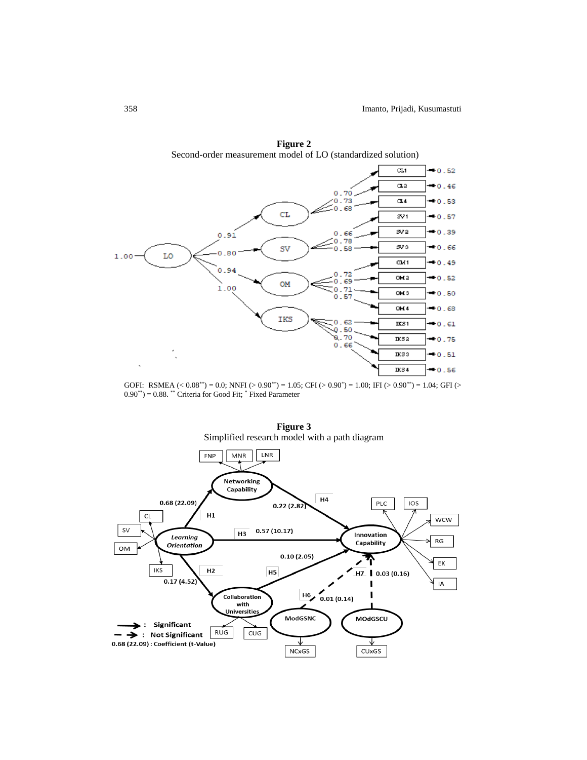

**Figure 2** Second-order measurement model of LO (standardized solution)

GOFI: RSMEA  $( $0.08^{**}$ ) = 0.0; NNFI ( $>$  0.90<sup>**</sup>) = 1.05; CFI ( $>$  0.90<sup>**</sup>) = 1.00; IFI ( $>$  0.90<sup>**</sup>) = 1.04; GFI ( $>$$  $0.90^{**}$ ) =  $0.88$ . \*\* Criteria for Good Fit;  $*$  Fixed Parameter



**Figure 3**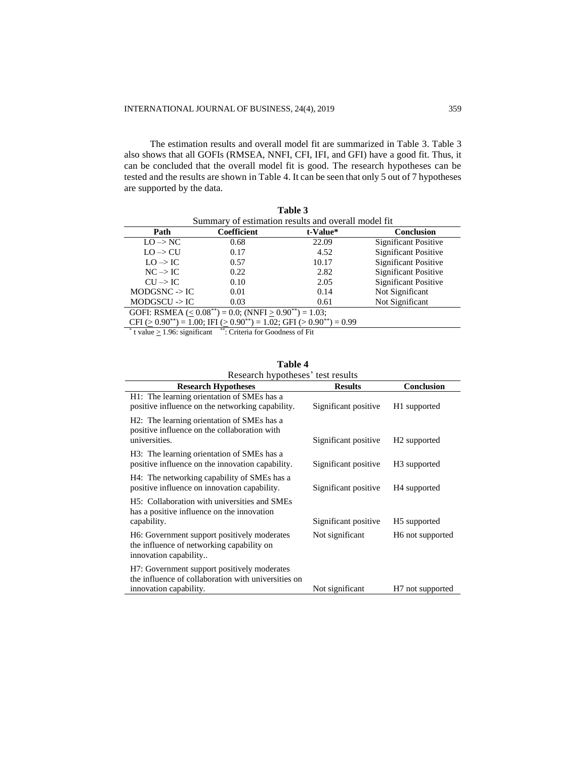The estimation results and overall model fit are summarized in Table 3. Table 3 also shows that all GOFIs (RMSEA, NNFI, CFI, IFI, and GFI) have a good fit. Thus, it can be concluded that the overall model fit is good. The research hypotheses can be tested and the results are shown in Table 4. It can be seen that only 5 out of 7 hypotheses are supported by the data.

| Table 3                                                                                  |                    |          |                             |  |  |  |  |
|------------------------------------------------------------------------------------------|--------------------|----------|-----------------------------|--|--|--|--|
| Summary of estimation results and overall model fit.                                     |                    |          |                             |  |  |  |  |
| Path                                                                                     | <b>Coefficient</b> | t-Value* | Conclusion                  |  |  |  |  |
| $LO \rightarrow NC$                                                                      | 0.68               | 22.09    | <b>Significant Positive</b> |  |  |  |  |
| $LO \rightarrow CU$                                                                      | 0.17               | 4.52     | <b>Significant Positive</b> |  |  |  |  |
| $LO \rightarrow IC$                                                                      | 0.57               | 10.17    | <b>Significant Positive</b> |  |  |  |  |
| $NC \rightarrow IC$                                                                      | 0.22               | 2.82     | <b>Significant Positive</b> |  |  |  |  |
| $\text{CU} \rightarrow \text{IC}$                                                        | 0.10               | 2.05     | <b>Significant Positive</b> |  |  |  |  |
| $MODGSNC \rightarrow IC$                                                                 | 0.01               | 0.14     | Not Significant             |  |  |  |  |
| $MODGSCU$ -> IC                                                                          | 0.03               | 0.61     | Not Significant             |  |  |  |  |
| GOFI: RSMEA ( $\leq 0.08^{**}$ ) = 0.0; (NNFI $\geq 0.90^{**}$ ) = 1.03;                 |                    |          |                             |  |  |  |  |
| CFI ( $> 0.90^{**}$ ) = 1.00; IFI ( $> 0.90^{**}$ ) = 1.02; GFI ( $> 0.90^{**}$ ) = 0.99 |                    |          |                             |  |  |  |  |

\* t value  $\geq$  1.96: significant \*\*\*: Criteria for Goodness of Fit

| <b>Research Hypotheses</b>                                                                                                           | <b>Results</b>       | Conclusion                   |
|--------------------------------------------------------------------------------------------------------------------------------------|----------------------|------------------------------|
| H1: The learning orientation of SMEs has a<br>positive influence on the networking capability.                                       | Significant positive | H <sub>1</sub> supported     |
| H <sub>2</sub> : The learning orientation of SME <sub>s</sub> has a<br>positive influence on the collaboration with<br>universities. | Significant positive | H <sub>2</sub> supported     |
| H <sub>3</sub> : The learning orientation of SME <sub>s</sub> has a<br>positive influence on the innovation capability.              | Significant positive | H <sub>3</sub> supported     |
| H4: The networking capability of SMEs has a<br>positive influence on innovation capability.                                          | Significant positive | H <sub>4</sub> supported     |
| H <sub>5</sub> : Collaboration with universities and SME <sub>s</sub><br>has a positive influence on the innovation<br>capability.   | Significant positive | H <sub>5</sub> supported     |
|                                                                                                                                      |                      |                              |
| H6: Government support positively moderates<br>the influence of networking capability on<br>innovation capability                    | Not significant      | H <sub>6</sub> not supported |
| H7: Government support positively moderates<br>the influence of collaboration with universities on<br>innovation capability.         | Not significant      | H <sub>7</sub> not supported |

| Table 4                           |  |
|-----------------------------------|--|
| Research hypotheses' test results |  |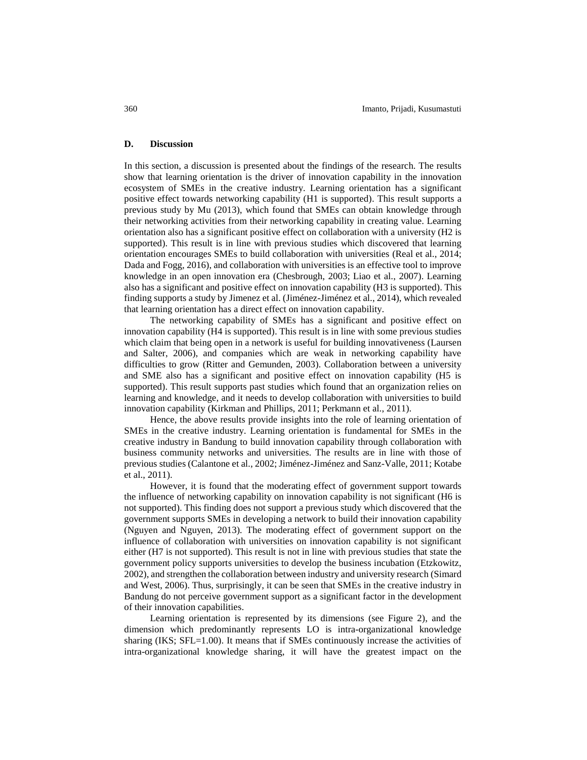## **D. Discussion**

In this section, a discussion is presented about the findings of the research. The results show that learning orientation is the driver of innovation capability in the innovation ecosystem of SMEs in the creative industry. Learning orientation has a significant positive effect towards networking capability (H1 is supported). This result supports a previous study by Mu (2013), which found that SMEs can obtain knowledge through their networking activities from their networking capability in creating value. Learning orientation also has a significant positive effect on collaboration with a university (H2 is supported). This result is in line with previous studies which discovered that learning orientation encourages SMEs to build collaboration with universities (Real et al., 2014; Dada and Fogg, 2016), and collaboration with universities is an effective tool to improve knowledge in an open innovation era (Chesbrough, 2003; Liao et al., 2007). Learning also has a significant and positive effect on innovation capability (H3 is supported). This finding supports a study by Jimenez et al. (Jiménez-Jiménez et al., 2014), which revealed that learning orientation has a direct effect on innovation capability.

The networking capability of SMEs has a significant and positive effect on innovation capability (H4 is supported). This result is in line with some previous studies which claim that being open in a network is useful for building innovativeness (Laursen and Salter, 2006), and companies which are weak in networking capability have difficulties to grow (Ritter and Gemunden, 2003). Collaboration between a university and SME also has a significant and positive effect on innovation capability (H5 is supported). This result supports past studies which found that an organization relies on learning and knowledge, and it needs to develop collaboration with universities to build innovation capability (Kirkman and Phillips, 2011; Perkmann et al., 2011).

Hence, the above results provide insights into the role of learning orientation of SMEs in the creative industry. Learning orientation is fundamental for SMEs in the creative industry in Bandung to build innovation capability through collaboration with business community networks and universities. The results are in line with those of previous studies (Calantone et al., 2002; Jiménez-Jiménez and Sanz-Valle, 2011; Kotabe et al., 2011).

However, it is found that the moderating effect of government support towards the influence of networking capability on innovation capability is not significant (H6 is not supported). This finding does not support a previous study which discovered that the government supports SMEs in developing a network to build their innovation capability (Nguyen and Nguyen, 2013). The moderating effect of government support on the influence of collaboration with universities on innovation capability is not significant either (H7 is not supported). This result is not in line with previous studies that state the government policy supports universities to develop the business incubation (Etzkowitz, 2002), and strengthen the collaboration between industry and university research (Simard and West, 2006). Thus, surprisingly, it can be seen that SMEs in the creative industry in Bandung do not perceive government support as a significant factor in the development of their innovation capabilities.

Learning orientation is represented by its dimensions (see Figure 2), and the dimension which predominantly represents LO is intra-organizational knowledge sharing (IKS;  $SFL=1.00$ ). It means that if SMEs continuously increase the activities of intra-organizational knowledge sharing, it will have the greatest impact on the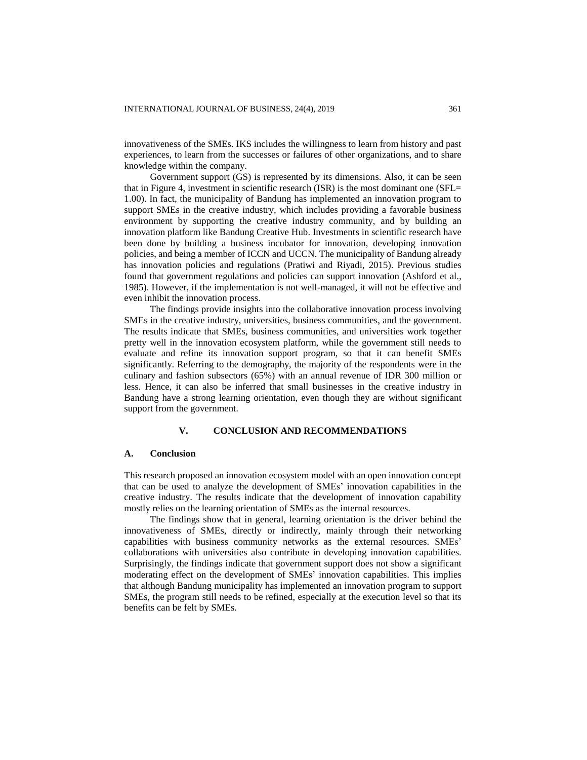innovativeness of the SMEs. IKS includes the willingness to learn from history and past experiences, to learn from the successes or failures of other organizations, and to share knowledge within the company.

Government support (GS) is represented by its dimensions. Also, it can be seen that in Figure 4, investment in scientific research (ISR) is the most dominant one (SFL= 1.00). In fact, the municipality of Bandung has implemented an innovation program to support SMEs in the creative industry, which includes providing a favorable business environment by supporting the creative industry community, and by building an innovation platform like Bandung Creative Hub. Investments in scientific research have been done by building a business incubator for innovation, developing innovation policies, and being a member of ICCN and UCCN. The municipality of Bandung already has innovation policies and regulations (Pratiwi and Riyadi, 2015). Previous studies found that government regulations and policies can support innovation (Ashford et al., 1985). However, if the implementation is not well-managed, it will not be effective and even inhibit the innovation process.

The findings provide insights into the collaborative innovation process involving SMEs in the creative industry, universities, business communities, and the government. The results indicate that SMEs, business communities, and universities work together pretty well in the innovation ecosystem platform, while the government still needs to evaluate and refine its innovation support program, so that it can benefit SMEs significantly. Referring to the demography, the majority of the respondents were in the culinary and fashion subsectors (65%) with an annual revenue of IDR 300 million or less. Hence, it can also be inferred that small businesses in the creative industry in Bandung have a strong learning orientation, even though they are without significant support from the government.

## **V. CONCLUSION AND RECOMMENDATIONS**

#### **A. Conclusion**

This research proposed an innovation ecosystem model with an open innovation concept that can be used to analyze the development of SMEs' innovation capabilities in the creative industry. The results indicate that the development of innovation capability mostly relies on the learning orientation of SMEs as the internal resources.

The findings show that in general, learning orientation is the driver behind the innovativeness of SMEs, directly or indirectly, mainly through their networking capabilities with business community networks as the external resources. SMEs' collaborations with universities also contribute in developing innovation capabilities. Surprisingly, the findings indicate that government support does not show a significant moderating effect on the development of SMEs' innovation capabilities. This implies that although Bandung municipality has implemented an innovation program to support SMEs, the program still needs to be refined, especially at the execution level so that its benefits can be felt by SMEs.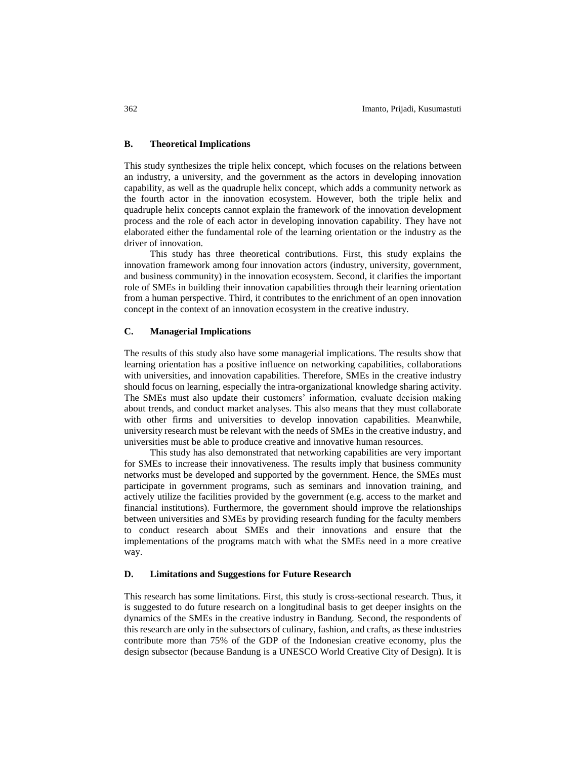## **B. Theoretical Implications**

This study synthesizes the triple helix concept, which focuses on the relations between an industry, a university, and the government as the actors in developing innovation capability, as well as the quadruple helix concept, which adds a community network as the fourth actor in the innovation ecosystem. However, both the triple helix and quadruple helix concepts cannot explain the framework of the innovation development process and the role of each actor in developing innovation capability. They have not elaborated either the fundamental role of the learning orientation or the industry as the driver of innovation.

This study has three theoretical contributions. First, this study explains the innovation framework among four innovation actors (industry, university, government, and business community) in the innovation ecosystem. Second, it clarifies the important role of SMEs in building their innovation capabilities through their learning orientation from a human perspective. Third, it contributes to the enrichment of an open innovation concept in the context of an innovation ecosystem in the creative industry.

## **C. Managerial Implications**

The results of this study also have some managerial implications. The results show that learning orientation has a positive influence on networking capabilities, collaborations with universities, and innovation capabilities. Therefore, SMEs in the creative industry should focus on learning, especially the intra-organizational knowledge sharing activity. The SMEs must also update their customers' information, evaluate decision making about trends, and conduct market analyses. This also means that they must collaborate with other firms and universities to develop innovation capabilities. Meanwhile, university research must be relevant with the needs of SMEs in the creative industry, and universities must be able to produce creative and innovative human resources.

This study has also demonstrated that networking capabilities are very important for SMEs to increase their innovativeness. The results imply that business community networks must be developed and supported by the government. Hence, the SMEs must participate in government programs, such as seminars and innovation training, and actively utilize the facilities provided by the government (e.g. access to the market and financial institutions). Furthermore, the government should improve the relationships between universities and SMEs by providing research funding for the faculty members to conduct research about SMEs and their innovations and ensure that the implementations of the programs match with what the SMEs need in a more creative way.

#### **D. Limitations and Suggestions for Future Research**

This research has some limitations. First, this study is cross-sectional research. Thus, it is suggested to do future research on a longitudinal basis to get deeper insights on the dynamics of the SMEs in the creative industry in Bandung. Second, the respondents of this research are only in the subsectors of culinary, fashion, and crafts, as these industries contribute more than 75% of the GDP of the Indonesian creative economy, plus the design subsector (because Bandung is a UNESCO World Creative City of Design). It is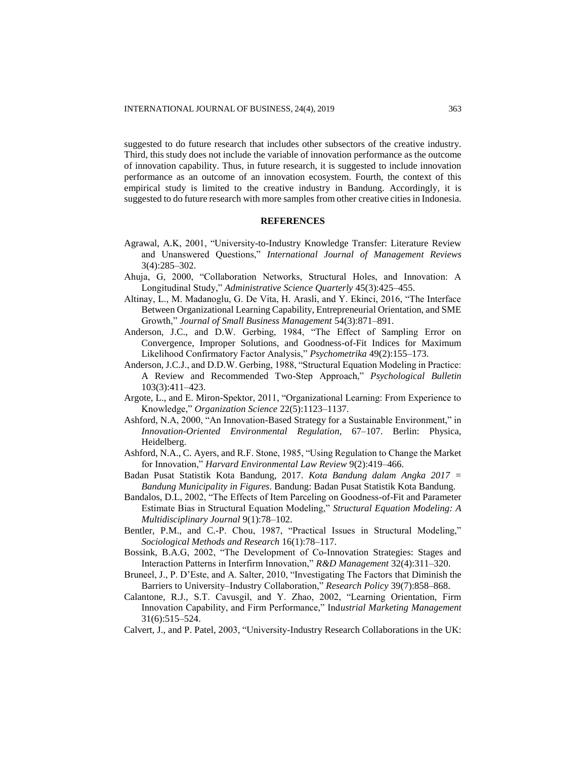suggested to do future research that includes other subsectors of the creative industry. Third, this study does not include the variable of innovation performance as the outcome of innovation capability. Thus, in future research, it is suggested to include innovation performance as an outcome of an innovation ecosystem. Fourth, the context of this empirical study is limited to the creative industry in Bandung. Accordingly, it is suggested to do future research with more samples from other creative cities in Indonesia.

# **REFERENCES**

- Agrawal, A.K, 2001, "University-to-Industry Knowledge Transfer: Literature Review and Unanswered Questions," *International Journal of Management Reviews* 3(4):285–302.
- Ahuja, G, 2000, "Collaboration Networks, Structural Holes, and Innovation: A Longitudinal Study," *Administrative Science Quarterly* 45(3):425–455.
- Altinay, L., M. Madanoglu, G. De Vita, H. Arasli, and Y. Ekinci, 2016, "The Interface Between Organizational Learning Capability, Entrepreneurial Orientation, and SME Growth," *Journal of Small Business Management* 54(3):871–891.
- Anderson, J.C., and D.W. Gerbing, 1984, "The Effect of Sampling Error on Convergence, Improper Solutions, and Goodness-of-Fit Indices for Maximum Likelihood Confirmatory Factor Analysis," *Psychometrika* 49(2):155–173.
- Anderson, J.C.J., and D.D.W. Gerbing, 1988, "Structural Equation Modeling in Practice: A Review and Recommended Two-Step Approach," *Psychological Bulletin* 103(3):411–423.
- Argote, L., and E. Miron-Spektor, 2011, "Organizational Learning: From Experience to Knowledge," *Organization Science* 22(5):1123–1137.
- Ashford, N.A, 2000, "An Innovation-Based Strategy for a Sustainable Environment," in *Innovation-Oriented Environmental Regulation*, 67–107. Berlin: Physica, Heidelberg.
- Ashford, N.A., C. Ayers, and R.F. Stone, 1985, "Using Regulation to Change the Market for Innovation," *Harvard Environmental Law Review* 9(2):419–466.
- Badan Pusat Statistik Kota Bandung, 2017. *Kota Bandung dalam Angka 2017 = Bandung Municipality in Figures*. Bandung: Badan Pusat Statistik Kota Bandung.
- Bandalos, D.L, 2002, "The Effects of Item Parceling on Goodness-of-Fit and Parameter Estimate Bias in Structural Equation Modeling," *Structural Equation Modeling: A Multidisciplinary Journal* 9(1):78–102.
- Bentler, P.M., and C.-P. Chou, 1987, "Practical Issues in Structural Modeling," *Sociological Methods and Research* 16(1):78–117.
- Bossink, B.A.G, 2002, "The Development of Co-Innovation Strategies: Stages and Interaction Patterns in Interfirm Innovation," *R&D Management* 32(4):311–320.
- Bruneel, J., P. D'Este, and A. Salter, 2010, "Investigating The Factors that Diminish the Barriers to University–Industry Collaboration," *Research Policy* 39(7):858–868.
- Calantone, R.J., S.T. Cavusgil, and Y. Zhao, 2002, "Learning Orientation, Firm Innovation Capability, and Firm Performance," Ind*ustrial Marketing Management* 31(6):515–524.
- Calvert, J., and P. Patel, 2003, "University-Industry Research Collaborations in the UK: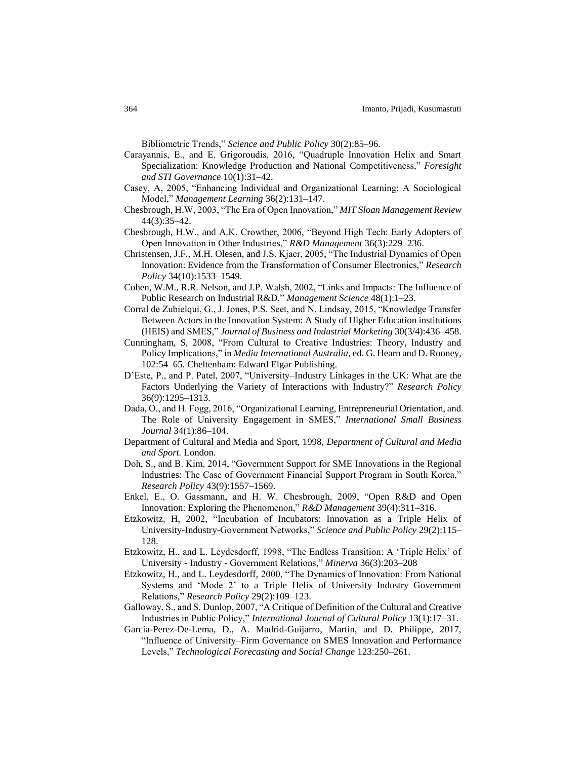Bibliometric Trends," *Science and Public Policy* 30(2):85–96.

- Carayannis, E., and E. Grigoroudis, 2016, "Quadruple Innovation Helix and Smart Specialization: Knowledge Production and National Competitiveness," *Foresight and STI Governance* 10(1):31–42.
- Casey, A, 2005, "Enhancing Individual and Organizational Learning: A Sociological Model," *Management Learning* 36(2):131–147.
- Chesbrough, H.W, 2003, "The Era of Open Innovation," *MIT Sloan Management Review* 44(3):35–42.
- Chesbrough, H.W., and A.K. Crowther, 2006, "Beyond High Tech: Early Adopters of Open Innovation in Other Industries," *R&D Management* 36(3):229–236.
- Christensen, J.F., M.H. Olesen, and J.S. Kjaer, 2005, "The Industrial Dynamics of Open Innovation: Evidence from the Transformation of Consumer Electronics," *Research Policy* 34(10):1533–1549.
- Cohen, W.M., R.R. Nelson, and J.P. Walsh, 2002, "Links and Impacts: The Influence of Public Research on Industrial R&D," *Management Science* 48(1):1–23.
- Corral de Zubielqui, G., J. Jones, P.S. Seet, and N. Lindsay, 2015, "Knowledge Transfer Between Actors in the Innovation System: A Study of Higher Education institutions (HEIS) and SMES," *Journal of Business and Industrial Marketing* 30(3/4):436–458.
- Cunningham, S, 2008, "From Cultural to Creative Industries: Theory, Industry and Policy Implications," in *Media International Australia*, ed. G. Hearn and D. Rooney, 102:54–65. Cheltenham: Edward Elgar Publishing.
- D'Este, P., and P. Patel, 2007, "University–Industry Linkages in the UK: What are the Factors Underlying the Variety of Interactions with Industry?" *Research Policy* 36(9):1295–1313.
- Dada, O., and H. Fogg, 2016, "Organizational Learning, Entrepreneurial Orientation, and The Role of University Engagement in SMES," *International Small Business Journal* 34(1):86–104.
- Department of Cultural and Media and Sport, 1998, *Department of Cultural and Media and Sport.* London.
- Doh, S., and B. Kim, 2014, "Government Support for SME Innovations in the Regional Industries: The Case of Government Financial Support Program in South Korea," *Research Policy* 43(9):1557–1569.
- Enkel, E., O. Gassmann, and H. W. Chesbrough, 2009, "Open R&D and Open Innovation: Exploring the Phenomenon," *R&D Management* 39(4):311–316.
- Etzkowitz, H, 2002, "Incubation of Incubators: Innovation as a Triple Helix of University-Industry-Government Networks," *Science and Public Policy* 29(2):115– 128.
- Etzkowitz, H., and L. Leydesdorff, 1998, "The Endless Transition: A 'Triple Helix' of University - Industry - Government Relations," *Minerva* 36(3):203–208
- Etzkowitz, H., and L. Leydesdorff, 2000, "The Dynamics of Innovation: From National Systems and 'Mode 2' to a Triple Helix of University–Industry–Government Relations," *Research Policy* 29(2):109–123.
- Galloway, S., and S. Dunlop, 2007, "A Critique of Definition of the Cultural and Creative Industries in Public Policy," *International Journal of Cultural Policy* 13(1):17–31.
- Garcia-Perez-De-Lema, D., A. Madrid-Guijarro, Martin, and D. Philippe, 2017, "Influence of University–Firm Governance on SMES Innovation and Performance Levels," *Technological Forecasting and Social Change* 123:250–261.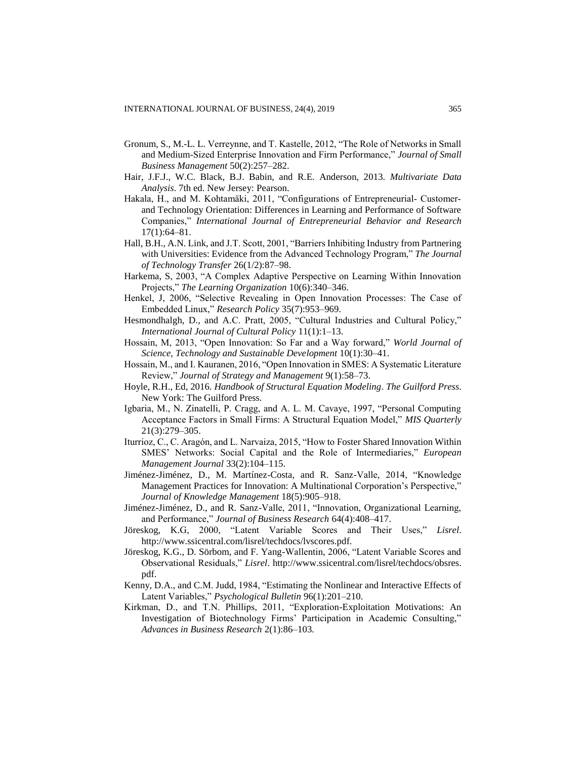- Gronum, S., M.-L. L. Verreynne, and T. Kastelle, 2012, "The Role of Networks in Small and Medium-Sized Enterprise Innovation and Firm Performance," *Journal of Small Business Management* 50(2):257–282.
- Hair, J.F.J., W.C. Black, B.J. Babin, and R.E. Anderson, 2013. *Multivariate Data Analysis*. 7th ed. New Jersey: Pearson.
- Hakala, H., and M. Kohtamäki, 2011, "Configurations of Entrepreneurial- Customerand Technology Orientation: Differences in Learning and Performance of Software Companies," *International Journal of Entrepreneurial Behavior and Research* 17(1):64–81.
- Hall, B.H., A.N. Link, and J.T. Scott, 2001, "Barriers Inhibiting Industry from Partnering with Universities: Evidence from the Advanced Technology Program," *The Journal of Technology Transfer* 26(1/2):87–98.
- Harkema, S, 2003, "A Complex Adaptive Perspective on Learning Within Innovation Projects," *The Learning Organization* 10(6):340–346.
- Henkel, J, 2006, "Selective Revealing in Open Innovation Processes: The Case of Embedded Linux," *Research Policy* 35(7):953–969.
- Hesmondhalgh, D., and A.C. Pratt, 2005, "Cultural Industries and Cultural Policy," *International Journal of Cultural Policy* 11(1):1–13.
- Hossain, M, 2013, "Open Innovation: So Far and a Way forward," *World Journal of Science, Technology and Sustainable Development* 10(1):30–41.
- Hossain, M., and I. Kauranen, 2016, "Open Innovation in SMES: A Systematic Literature Review," *Journal of Strategy and Management* 9(1):58–73.
- Hoyle, R.H., Ed, 2016. *Handbook of Structural Equation Modeling*. *The Guilford Press*. New York: The Guilford Press.
- Igbaria, M., N. Zinatelli, P. Cragg, and A. L. M. Cavaye, 1997, "Personal Computing Acceptance Factors in Small Firms: A Structural Equation Model," *MIS Quarterly* 21(3):279–305.
- Iturrioz, C., C. Aragón, and L. Narvaiza, 2015, "How to Foster Shared Innovation Within SMES' Networks: Social Capital and the Role of Intermediaries," *European Management Journal* 33(2):104–115.
- Jiménez-Jiménez, D., M. Martínez-Costa, and R. Sanz-Valle, 2014, "Knowledge Management Practices for Innovation: A Multinational Corporation's Perspective," *Journal of Knowledge Management* 18(5):905–918.
- Jiménez-Jiménez, D., and R. Sanz-Valle, 2011, "Innovation, Organizational Learning, and Performance," *Journal of Business Research* 64(4):408–417.
- Jöreskog, K.G, 2000, "Latent Variable Scores and Their Uses," *Lisrel*. http://www.ssicentral.com/lisrel/techdocs/lvscores.pdf.
- Jöreskog, K.G., D. Sörbom, and F. Yang-Wallentin, 2006, "Latent Variable Scores and Observational Residuals," *Lisrel*. http://www.ssicentral.com/lisrel/techdocs/obsres. pdf.
- Kenny, D.A., and C.M. Judd, 1984, "Estimating the Nonlinear and Interactive Effects of Latent Variables," *Psychological Bulletin* 96(1):201–210.
- Kirkman, D., and T.N. Phillips, 2011, "Exploration-Exploitation Motivations: An Investigation of Biotechnology Firms' Participation in Academic Consulting," *Advances in Business Research* 2(1):86–103.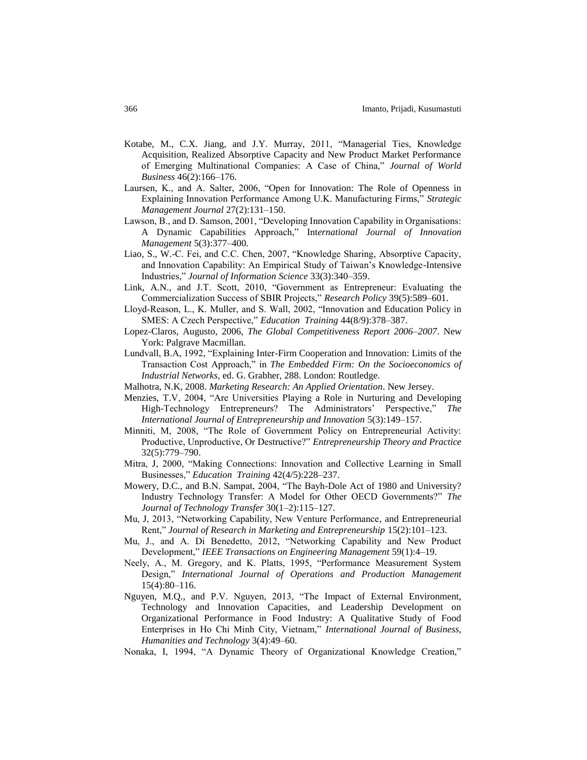- Kotabe, M., C.X. Jiang, and J.Y. Murray, 2011, "Managerial Ties, Knowledge Acquisition, Realized Absorptive Capacity and New Product Market Performance of Emerging Multinational Companies: A Case of China," *Journal of World Business* 46(2):166–176.
- Laursen, K., and A. Salter, 2006, "Open for Innovation: The Role of Openness in Explaining Innovation Performance Among U.K. Manufacturing Firms," *Strategic Management Journal* 27(2):131–150.
- Lawson, B., and D. Samson, 2001, "Developing Innovation Capability in Organisations: A Dynamic Capabilities Approach," Int*ernational Journal of Innovation Management* 5(3):377–400.
- Liao, S., W.-C. Fei, and C.C. Chen, 2007, "Knowledge Sharing, Absorptive Capacity, and Innovation Capability: An Empirical Study of Taiwan's Knowledge-Intensive Industries," *Journal of Information Science* 33(3):340–359.
- Link, A.N., and J.T. Scott, 2010, "Government as Entrepreneur: Evaluating the Commercialization Success of SBIR Projects," *Research Policy* 39(5):589–601.
- Lloyd‐Reason, L., K. Muller, and S. Wall, 2002, "Innovation and Education Policy in SMES: A Czech Perspective," *Education Training* 44(8/9):378–387.
- Lopez-Claros, Augusto, 2006, *The Global Competitiveness Report 2006–2007*. New York: Palgrave Macmillan.
- Lundvall, B.A, 1992, "Explaining Inter-Firm Cooperation and Innovation: Limits of the Transaction Cost Approach," in *The Embedded Firm: On the Socioeconomics of Industrial Networks*, ed. G. Grabher, 288. London: Routledge.
- Malhotra, N.K, 2008. *Marketing Research: An Applied Orientation*. New Jersey.
- Menzies, T.V, 2004, "Are Universities Playing a Role in Nurturing and Developing High-Technology Entrepreneurs? The Administrators' Perspective," *The International Journal of Entrepreneurship and Innovation* 5(3):149–157.
- Minniti, M, 2008, "The Role of Government Policy on Entrepreneurial Activity: Productive, Unproductive, Or Destructive?" *Entrepreneurship Theory and Practice* 32(5):779–790.
- Mitra, J, 2000, "Making Connections: Innovation and Collective Learning in Small Businesses," *Education Training* 42(4/5):228–237.
- Mowery, D.C., and B.N. Sampat, 2004, "The Bayh-Dole Act of 1980 and University? Industry Technology Transfer: A Model for Other OECD Governments?" *The Journal of Technology Transfer* 30(1–2):115–127.
- Mu, J, 2013, "Networking Capability, New Venture Performance, and Entrepreneurial Rent," *Journal of Research in Marketing and Entrepreneurship* 15(2):101–123.
- Mu, J., and A. Di Benedetto, 2012, "Networking Capability and New Product Development," *IEEE Transactions on Engineering Management* 59(1):4–19.
- Neely, A., M. Gregory, and K. Platts, 1995, "Performance Measurement System Design," *International Journal of Operations and Production Management* 15(4):80–116.
- Nguyen, M.Q., and P.V. Nguyen, 2013, "The Impact of External Environment, Technology and Innovation Capacities, and Leadership Development on Organizational Performance in Food Industry: A Qualitative Study of Food Enterprises in Ho Chi Minh City, Vietnam," *International Journal of Business, Humanities and Technology* 3(4):49–60.
- Nonaka, I, 1994, "A Dynamic Theory of Organizational Knowledge Creation,"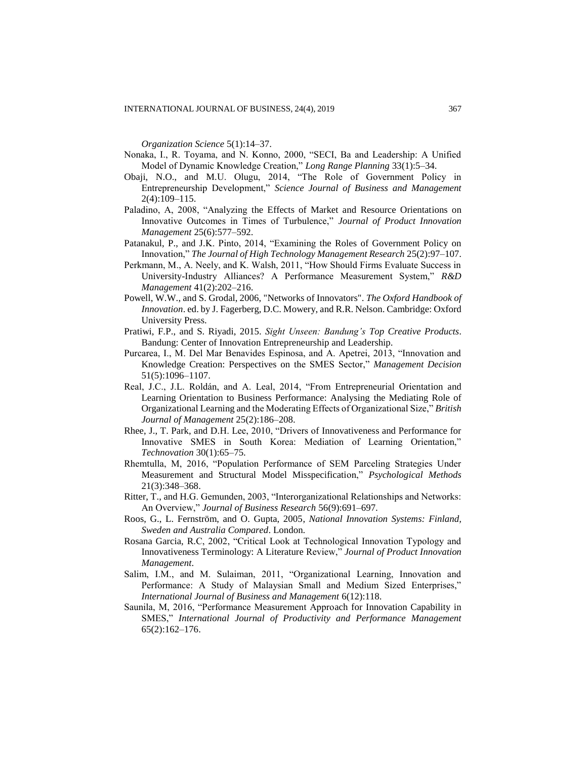*Organization Science* 5(1):14–37.

- Nonaka, I., R. Toyama, and N. Konno, 2000, "SECI, Ba and Leadership: A Unified Model of Dynamic Knowledge Creation," *Long Range Planning* 33(1):5–34.
- Obaji, N.O., and M.U. Olugu, 2014, "The Role of Government Policy in Entrepreneurship Development," *Science Journal of Business and Management* 2(4):109–115.
- Paladino, A, 2008, "Analyzing the Effects of Market and Resource Orientations on Innovative Outcomes in Times of Turbulence," *Journal of Product Innovation Management* 25(6):577–592.
- Patanakul, P., and J.K. Pinto, 2014, "Examining the Roles of Government Policy on Innovation," *The Journal of High Technology Management Research* 25(2):97–107.
- Perkmann, M., A. Neely, and K. Walsh, 2011, "How Should Firms Evaluate Success in University-Industry Alliances? A Performance Measurement System," *R&D Management* 41(2):202–216.
- Powell, W.W., and S. Grodal, 2006, "Networks of Innovators". *The Oxford Handbook of Innovation*. ed. by J. Fagerberg, D.C. Mowery, and R.R. Nelson. Cambridge: Oxford University Press.
- Pratiwi, F.P., and S. Riyadi, 2015. *Sight Unseen: Bandung's Top Creative Products*. Bandung: Center of Innovation Entrepreneurship and Leadership.
- Purcarea, I., M. Del Mar Benavides Espinosa, and A. Apetrei, 2013, "Innovation and Knowledge Creation: Perspectives on the SMES Sector," *Management Decision* 51(5):1096–1107.
- Real, J.C., J.L. Roldán, and A. Leal, 2014, "From Entrepreneurial Orientation and Learning Orientation to Business Performance: Analysing the Mediating Role of Organizational Learning and the Moderating Effects of Organizational Size," *British Journal of Management* 25(2):186–208.
- Rhee, J., T. Park, and D.H. Lee, 2010, "Drivers of Innovativeness and Performance for Innovative SMES in South Korea: Mediation of Learning Orientation," *Technovation* 30(1):65–75.
- Rhemtulla, M, 2016, "Population Performance of SEM Parceling Strategies Under Measurement and Structural Model Misspecification," *Psychological Methods* 21(3):348–368.
- Ritter, T., and H.G. Gemunden, 2003, "Interorganizational Relationships and Networks: An Overview," *Journal of Business Research* 56(9):691–697.
- Roos, G., L. Fernström, and O. Gupta, 2005, *National Innovation Systems: Finland, Sweden and Australia Compared*. London.
- Rosana Garcia, R.C, 2002, "Critical Look at Technological Innovation Typology and Innovativeness Terminology: A Literature Review," *Journal of Product Innovation Management*.
- Salim, I.M., and M. Sulaiman, 2011, "Organizational Learning, Innovation and Performance: A Study of Malaysian Small and Medium Sized Enterprises," *International Journal of Business and Management* 6(12):118.
- Saunila, M, 2016, "Performance Measurement Approach for Innovation Capability in SMES," *International Journal of Productivity and Performance Management* 65(2):162–176.